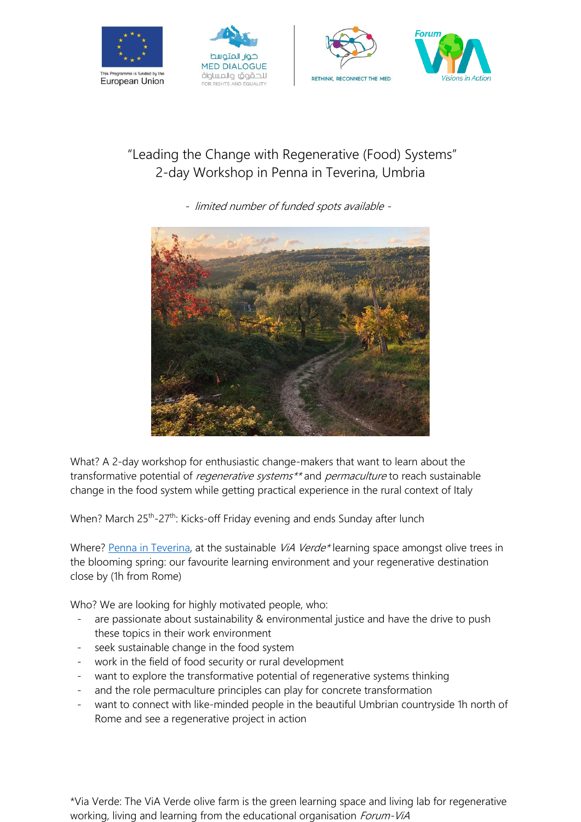







## "Leading the Change with Regenerative (Food) Systems" 2-day Workshop in Penna in Teverina, Umbria

- limited number of funded spots available -



What? A 2-day workshop for enthusiastic change-makers that want to learn about the transformative potential of *regenerative systems*<sup>\*\*</sup> and *permaculture* to reach sustainable change in the food system while getting practical experience in the rural context of Italy

When? March 25<sup>th</sup>-27<sup>th</sup>: Kicks-off Friday evening and ends Sunday after lunch

Where? [Penna in Teverina,](https://goo.gl/maps/VeeaYe8x5qKE2NYS6) at the sustainable ViA Verde\* learning space amongst olive trees in the blooming spring: our favourite learning environment and your regenerative destination close by (1h from Rome)

Who? We are looking for highly motivated people, who:

- are passionate about sustainability & environmental justice and have the drive to push these topics in their work environment
- seek sustainable change in the food system
- work in the field of food security or rural development
- want to explore the transformative potential of regenerative systems thinking
- and the role permaculture principles can play for concrete transformation
- want to connect with like-minded people in the beautiful Umbrian countryside 1h north of Rome and see a regenerative project in action

\*Via Verde: The ViA Verde olive farm is the green learning space and living lab for regenerative working, living and learning from the educational organisation *Forum-ViA*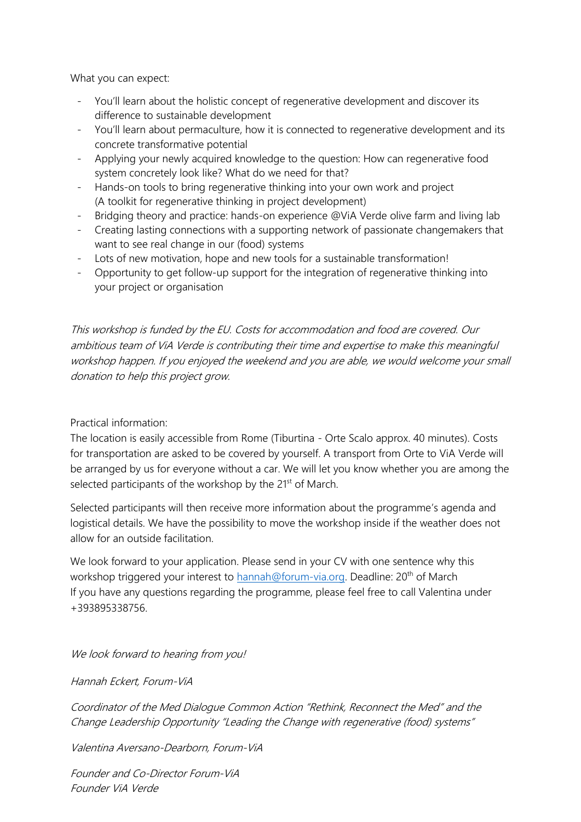What you can expect:

- You'll learn about the holistic concept of regenerative development and discover its difference to sustainable development
- You'll learn about permaculture, how it is connected to regenerative development and its concrete transformative potential
- Applying your newly acquired knowledge to the question: How can regenerative food system concretely look like? What do we need for that?
- Hands-on tools to bring regenerative thinking into your own work and project (A toolkit for regenerative thinking in project development)
- Bridging theory and practice: hands-on experience @ViA Verde olive farm and living lab
- Creating lasting connections with a supporting network of passionate changemakers that want to see real change in our (food) systems
- Lots of new motivation, hope and new tools for a sustainable transformation!
- Opportunity to get follow-up support for the integration of regenerative thinking into your project or organisation

This workshop is funded by the EU. Costs for accommodation and food are covered. Our ambitious team of ViA Verde is contributing their time and expertise to make this meaningful workshop happen. If you enjoyed the weekend and you are able, we would welcome your small donation to help this project grow.

Practical information:

The location is easily accessible from Rome (Tiburtina - Orte Scalo approx. 40 minutes). Costs for transportation are asked to be covered by yourself. A transport from Orte to ViA Verde will be arranged by us for everyone without a car. We will let you know whether you are among the selected participants of the workshop by the 21<sup>st</sup> of March.

Selected participants will then receive more information about the programme's agenda and logistical details. We have the possibility to move the workshop inside if the weather does not allow for an outside facilitation.

We look forward to your application. Please send in your CV with one sentence why this workshop triggered your interest to [hannah@forum-via.org.](mailto:hannah@forum-via.org) Deadline: 20<sup>th</sup> of March If you have any questions regarding the programme, please feel free to call Valentina under +393895338756.

We look forward to hearing from you!

Hannah Eckert, Forum-ViA

Coordinator of the Med Dialogue Common Action "Rethink, Reconnect the Med" and the Change Leadership Opportunity "Leading the Change with regenerative (food) systems"

Valentina Aversano-Dearborn, Forum-ViA

Founder and Co-Director Forum-ViA Founder ViA Verde